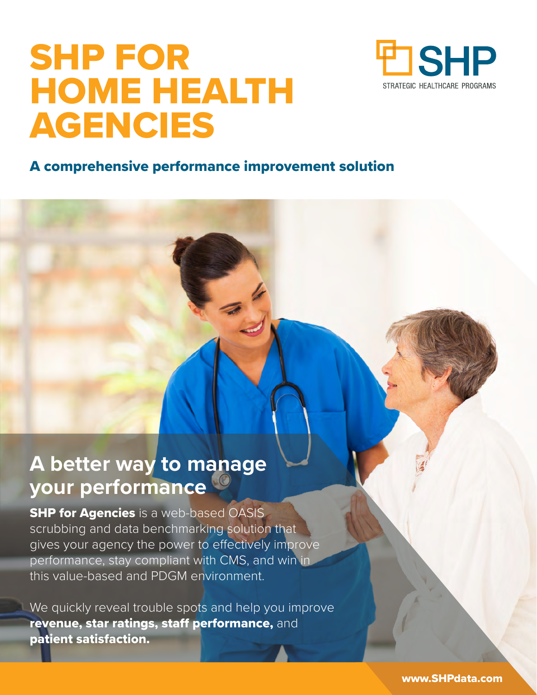# SHP FOR HOME HEALTH AGENCIES



### A comprehensive performance improvement solution

# **A better way to manage your performance**

**SHP for Agencies** is a web-based OASIS scrubbing and data benchmarking solution that gives your agency the power to effectively improve performance, stay compliant with CMS, and win in this value-based and PDGM environment.

We quickly reveal trouble spots and help you improve revenue, star ratings, staff performance, and patient satisfaction.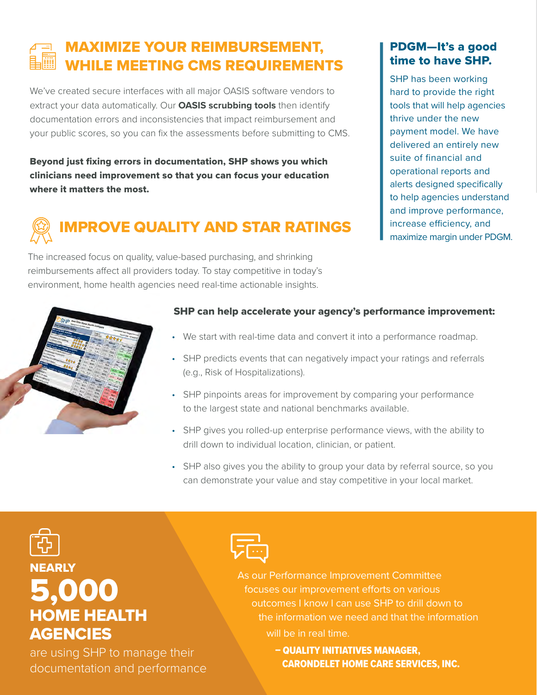# MAXIMIZE YOUR REIMBURSEMENT, WHILE MEETING CMS REQUIREMENTS

We've created secure interfaces with all major OASIS software vendors to extract your data automatically. Our **OASIS scrubbing tools** then identify documentation errors and inconsistencies that impact reimbursement and your public scores, so you can fix the assessments before submitting to CMS.

Beyond just fixing errors in documentation, SHP shows you which clinicians need improvement so that you can focus your education where it matters the most.

# IMPROVE QUALITY AND STAR RATINGS

The increased focus on quality, value-based purchasing, and shrinking reimbursements affect all providers today. To stay competitive in today's environment, home health agencies need real-time actionable insights.

#### PDGM—It's a good time to have SHP.

SHP has been working hard to provide the right tools that will help agencies thrive under the new payment model. We have delivered an entirely new suite of financial and operational reports and alerts designed specifically to help agencies understand and improve performance, increase efficiency, and maximize margin under PDGM.



#### SHP can help accelerate your agency's performance improvement:

- We start with real-time data and convert it into a performance roadmap.
- SHP predicts events that can negatively impact your ratings and referrals (e.g., Risk of Hospitalizations).
- SHP pinpoints areas for improvement by comparing your performance to the largest state and national benchmarks available.
- SHP gives you rolled-up enterprise performance views, with the ability to drill down to individual location, clinician, or patient.
- SHP also gives you the ability to group your data by referral source, so you can demonstrate your value and stay competitive in your local market.

# **NEARLY** 5,000 HOME HEALTH **AGENCIES**

are using SHP to manage their documentation and performance



As our Performance Improvement Committee focuses our improvement efforts on various outcomes I know I can use SHP to drill down to the information we need and that the information will be in real time.

> – QUALITY INITIATIVES MANAGER, CARONDELET HOME CARE SERVICES, INC.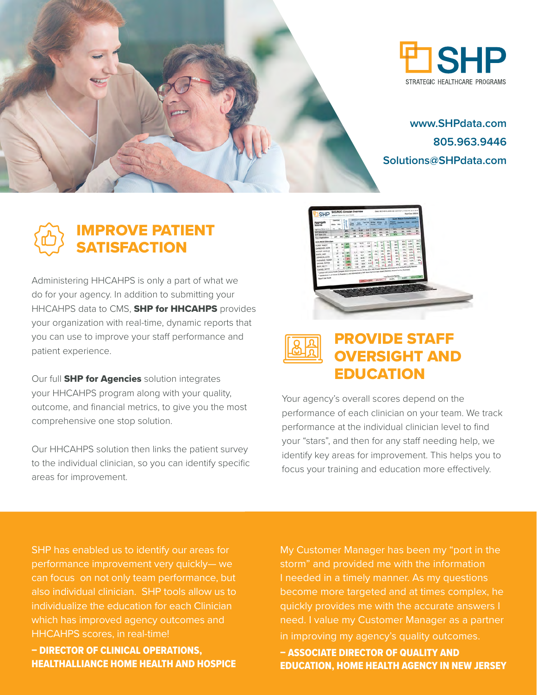

## IMPROVE PATIENT **SATISFACTION**

Administering HHCAHPS is only a part of what we do for your agency. In addition to submitting your HHCAHPS data to CMS, **SHP for HHCAHPS** provides your organization with real-time, dynamic reports that you can use to improve your staff performance and patient experience.

Our full **SHP for Agencies** solution integrates your HHCAHPS program along with your quality, outcome, and financial metrics, to give you the most comprehensive one stop solution.

Our HHCAHPS solution then links the patient survey to the individual clinician, so you can identify specific areas for improvement.



### PROVIDE STAFF OVERSIGHT AND EDUCATION

Your agency's overall scores depend on the performance of each clinician on your team. We track performance at the individual clinician level to find your "stars", and then for any staff needing help, we identify key areas for improvement. This helps you to focus your training and education more effectively.

SHP has enabled us to identify our areas for performance improvement very quickly— we can focus on not only team performance, but also individual clinician. SHP tools allow us to individualize the education for each Clinician which has improved agency outcomes and HHCAHPS scores, in real-time!

– DIRECTOR OF CLINICAL OPERATIONS, HEALTHALLIANCE HOME HEALTH AND HOSPICE My Customer Manager has been my "port in the storm" and provided me with the information I needed in a timely manner. As my questions become more targeted and at times complex, he quickly provides me with the accurate answers I need. I value my Customer Manager as a partner in improving my agency's quality outcomes.

– ASSOCIATE DIRECTOR OF QUALITY AND EDUCATION, HOME HEALTH AGENCY IN NEW JERSEY